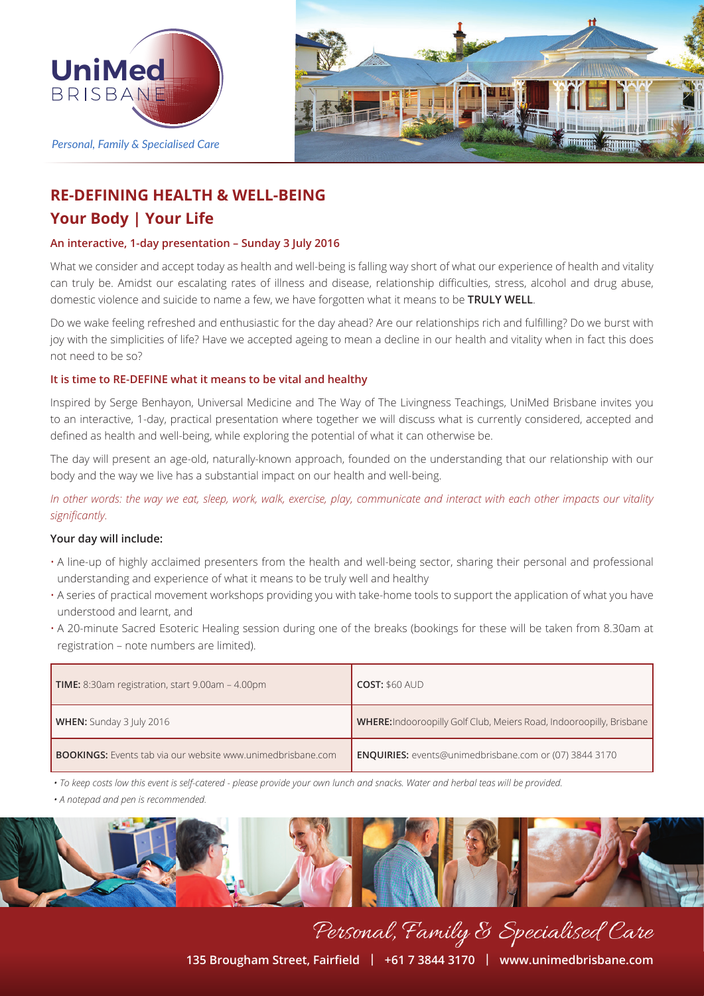



# **RE-DEFINING HEALTH & WELL-BEING Your Body | Your Life**

## **An interactive, 1-day presentation – Sunday 3 July 2016**

What we consider and accept today as health and well-being is falling way short of what our experience of health and vitality can truly be. Amidst our escalating rates of illness and disease, relationship difficulties, stress, alcohol and drug abuse, domestic violence and suicide to name a few, we have forgotten what it means to be **TRULY WELL**.

Do we wake feeling refreshed and enthusiastic for the day ahead? Are our relationships rich and fulfilling? Do we burst with joy with the simplicities of life? Have we accepted ageing to mean a decline in our health and vitality when in fact this does not need to be so?

## **It is time to RE-DEFINE what it means to be vital and healthy**

Inspired by Serge Benhayon, Universal Medicine and The Way of The Livingness Teachings, UniMed Brisbane invites you to an interactive, 1-day, practical presentation where together we will discuss what is currently considered, accepted and defined as health and well-being, while exploring the potential of what it can otherwise be.

The day will present an age-old, naturally-known approach, founded on the understanding that our relationship with our body and the way we live has a substantial impact on our health and well-being.

*In other words: the way we eat, sleep, work, walk, exercise, play, communicate and interact with each other impacts our vitality significantly.*

## **Your day will include:**

- A line-up of highly acclaimed presenters from the health and well-being sector, sharing their personal and professional understanding and experience of what it means to be truly well and healthy
- A series of practical movement workshops providing you with take-home tools to support the application of what you have understood and learnt, and
- A 20-minute Sacred Esoteric Healing session during one of the breaks (bookings for these will be taken from 8.30am at registration – note numbers are limited).

| <b>TIME:</b> 8:30am registration, start 9.00am - 4.00pm            | <b>COST: \$60 AUD</b>                                                       |
|--------------------------------------------------------------------|-----------------------------------------------------------------------------|
| WHEN: Sunday 3 July 2016                                           | <b>WHERE:</b> Indooroopilly Golf Club, Meiers Road, Indooroopilly, Brisbane |
| <b>BOOKINGS:</b> Events tab via our website www.unimedbrisbane.com | <b>ENQUIRIES:</b> events@unimedbrisbane.com or (07) 3844 3170               |

*• To keep costs low this event is self-catered - please provide your own lunch and snacks. Water and herbal teas will be provided.*

*• A notepad and pen is recommended.*



**135 Brougham Street, Fairfield | +61 7 3844 3170 | www.unimedbrisbane.com**

Personal, Family & Specialised Care